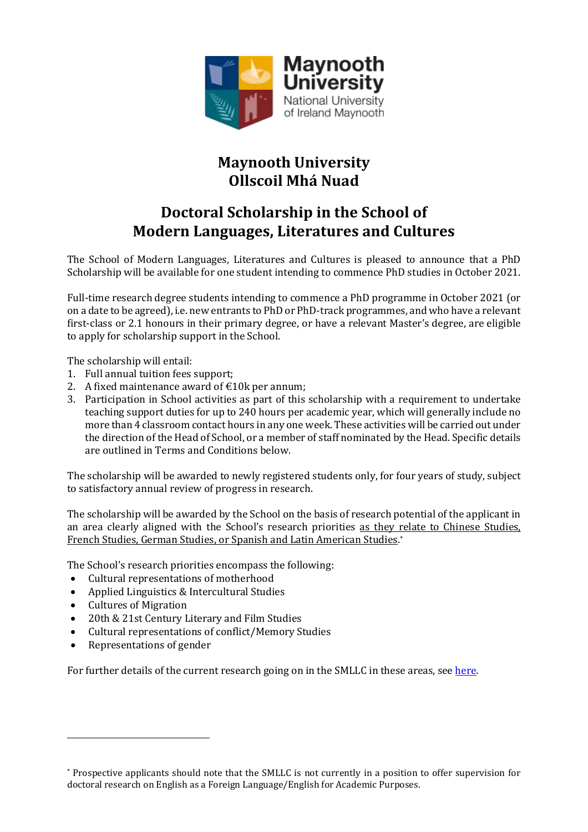

# **Maynooth University Ollscoil Mhá Nuad**

## **Doctoral Scholarship in the School of Modern Languages, Literatures and Cultures**

The School of Modern Languages, Literatures and Cultures is pleased to announce that a PhD Scholarship will be available for one student intending to commence PhD studies in October 2021.

Full-time research degree students intending to commence a PhD programme in October 2021 (or on a date to be agreed), i.e. new entrants to PhD or PhD-track programmes, and who have a relevant first-class or 2.1 honours in their primary degree, or have a relevant Master's degree, are eligible to apply for scholarship support in the School.

The scholarship will entail:

- 1. Full annual tuition fees support;
- 2. A fixed maintenance award of  $\text{\textsterling}10k$  per annum;
- 3. Participation in School activities as part of this scholarship with a requirement to undertake teaching support duties for up to 240 hours per academic year, which will generally include no more than 4 classroom contact hours in any one week. These activities will be carried out under the direction of the Head of School, or a member of staff nominated by the Head. Specific details are outlined in [Terms and Conditions](#page-2-0) below.

The scholarship will be awarded to newly registered students only, for four years of study, subject to satisfactory annual review of progress in research.

The scholarship will be awarded by the School on the basis of research potential of the applicant in an area clearly aligned with the School's research priorities as they relate to Chinese Studies, French Studies, German Studies, or Spanish and Latin American Studies.[\\*](#page-0-0)

The School's research priorities encompass the following:

- Cultural representations of motherhood<br>• Applied Linguistics & Intercultural Studio
- Applied Linguistics & Intercultural Studies
- Cultures of Migration
- 20th & 21st Century Literary and Film Studies
- Cultural representations of conflict/Memory Studies<br>• Representations of gender
- Representations of gender

For further details of the current research going on in the SMLLC in these areas, se[e here.](https://www.maynoothuniversity.ie/school-modern-languages/research)

<span id="page-0-0"></span><sup>\*</sup> Prospective applicants should note that the SMLLC is not currently in a position to offer supervision for doctoral research on English as a Foreign Language/English for Academic Purposes.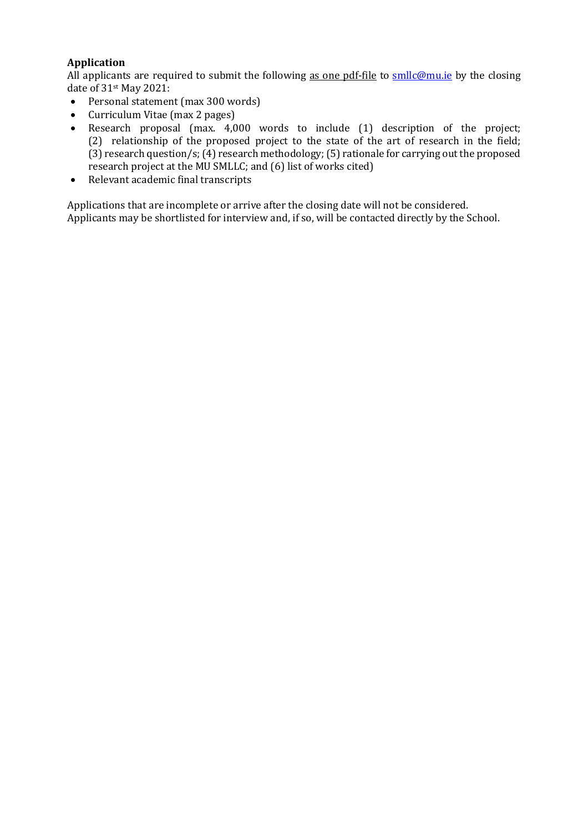### **Application**

All applicants are required to submit the following as one pdf-file to [smllc@mu.ie](mailto:smllc@mu.ie) by the closing date of 31st May 2021:

- Personal statement (max 300 words)<br>• Curriculum Vitae (max 2 pages)
- Curriculum Vitae (max 2 pages)<br>• Research proposal (max. 4.0)
- Research proposal (max. 4,000 words to include (1) description of the project; (2) relationship of the proposed project to the state of the art of research in the field; (3) research question/s; (4) research methodology; (5) rationale for carrying out the proposed research project at the MU SMLLC; and (6) list of works cited)
- Relevant academic final transcripts

Applications that are incomplete or arrive after the closing date will not be considered. Applicants may be shortlisted for interview and, if so, will be contacted directly by the School.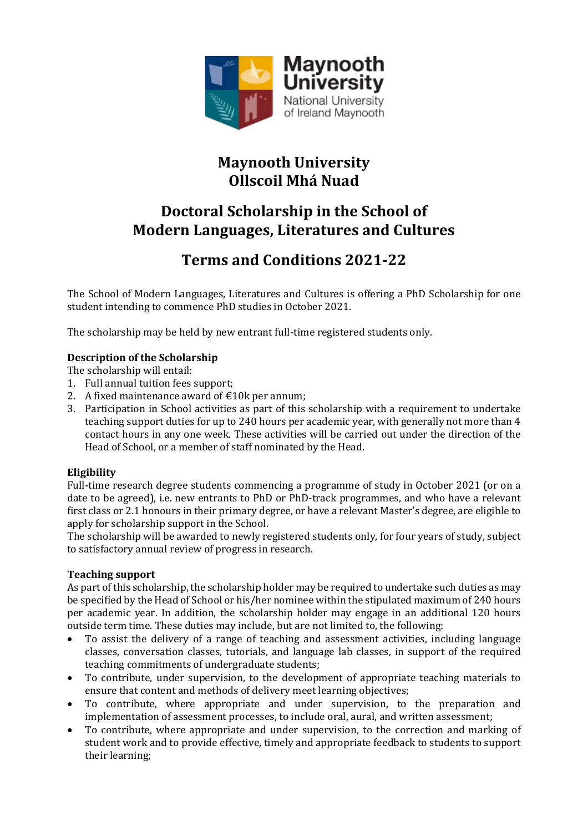

## **Maynooth University Ollscoil Mhá Nuad**

## **Doctoral Scholarship in the School of Modern Languages, Literatures and Cultures**

# **Terms and Conditions 2021-22**

<span id="page-2-0"></span>The School of Modern Languages, Literatures and Cultures is offering a PhD Scholarship for one student intending to commence PhD studies in October 2021.

The scholarship may be held by new entrant full-time registered students only.

## **Description of the Scholarship**

The scholarship will entail:

- 1. Full annual tuition fees support;
- 2. A fixed maintenance award of  $\text{\textsterling}10k$  per annum;
- 3. Participation in School activities as part of this scholarship with a requirement to undertake teaching support duties for up to 240 hours per academic year, with generally not more than 4 contact hours in any one week. These activities will be carried out under the direction of the Head of School, or a member of staff nominated by the Head.

### **Eligibility**

Full-time research degree students commencing a programme of study in October 2021 (or on a date to be agreed), i.e. new entrants to PhD or PhD-track programmes, and who have a relevant first class or 2.1 honours in their primary degree, or have a relevant Master's degree, are eligible to apply for scholarship support in the School.

The scholarship will be awarded to newly registered students only, for four years of study, subject to satisfactory annual review of progress in research.

### **Teaching support**

As part of this scholarship, the scholarship holder may be required to undertake such duties as may be specified by the Head of School or his/her nominee within the stipulated maximum of 240 hours per academic year. In addition, the scholarship holder may engage in an additional 120 hours outside term time. These duties may include, but are not limited to, the following:

- To assist the delivery of a range of teaching and assessment activities, including language classes, conversation classes, tutorials, and language lab classes, in support of the required teaching commitments of undergraduate students;
- To contribute, under supervision, to the development of appropriate teaching materials to ensure that content and methods of delivery meet learning objectives;
- To contribute, where appropriate and under supervision, to the preparation and implementation of assessment processes, to include oral, aural, and written assessment;
- To contribute, where appropriate and under supervision, to the correction and marking of student work and to provide effective, timely and appropriate feedback to students to support their learning;